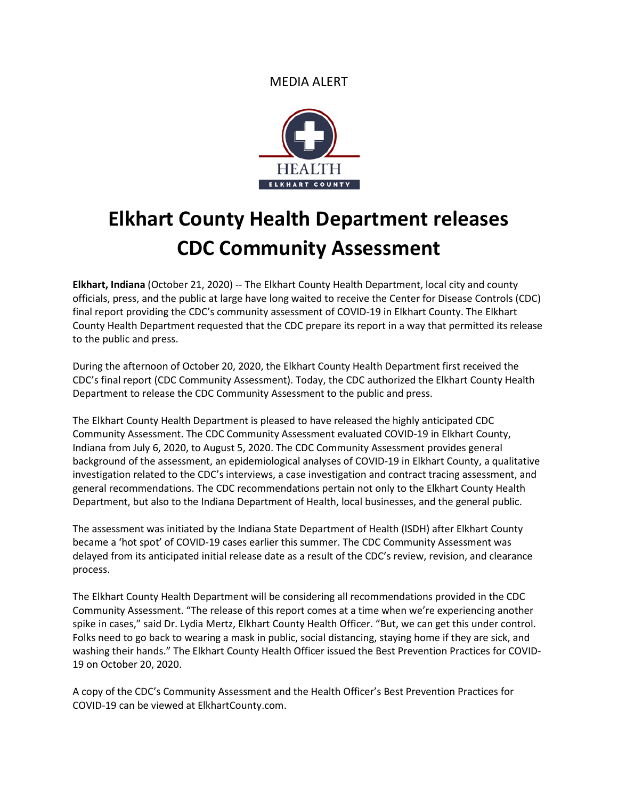MEDIA ALERT



## **Elkhart County Health Department releases CDC Community Assessment**

**Elkhart, Indiana** (October 21, 2020) -- The Elkhart County Health Department, local city and county officials, press, and the public at large have long waited to receive the Center for Disease Controls (CDC) final report providing the CDC's community assessment of COVID-19 in Elkhart County. The Elkhart County Health Department requested that the CDC prepare its report in a way that permitted its release to the public and press.

During the afternoon of October 20, 2020, the Elkhart County Health Department first received the CDC's final report (CDC Community Assessment). Today, the CDC authorized the Elkhart County Health Department to release the CDC Community Assessment to the public and press.

The Elkhart County Health Department is pleased to have released the highly anticipated CDC Community Assessment. The CDC Community Assessment evaluated COVID-19 in Elkhart County, Indiana from July 6, 2020, to August 5, 2020. The CDC Community Assessment provides general background of the assessment, an epidemiological analyses of COVID-19 in Elkhart County, a qualitative investigation related to the CDC's interviews, a case investigation and contract tracing assessment, and general recommendations. The CDC recommendations pertain not only to the Elkhart County Health Department, but also to the Indiana Department of Health, local businesses, and the general public.

The assessment was initiated by the Indiana State Department of Health (ISDH) after Elkhart County became a 'hot spot' of COVID-19 cases earlier this summer. The CDC Community Assessment was delayed from its anticipated initial release date as a result of the CDC's review, revision, and clearance process.

The Elkhart County Health Department will be considering all recommendations provided in the CDC Community Assessment. "The release of this report comes at a time when we're experiencing another spike in cases," said Dr. Lydia Mertz, Elkhart County Health Officer. "But, we can get this under control. Folks need to go back to wearing a mask in public, social distancing, staying home if they are sick, and washing their hands." The Elkhart County Health Officer issued the Best Prevention Practices for COVID-19 on October 20, 2020.

A copy of the CDC's Community Assessment and the Health Officer's Best Prevention Practices for COVID-19 can be viewed at ElkhartCounty.com.